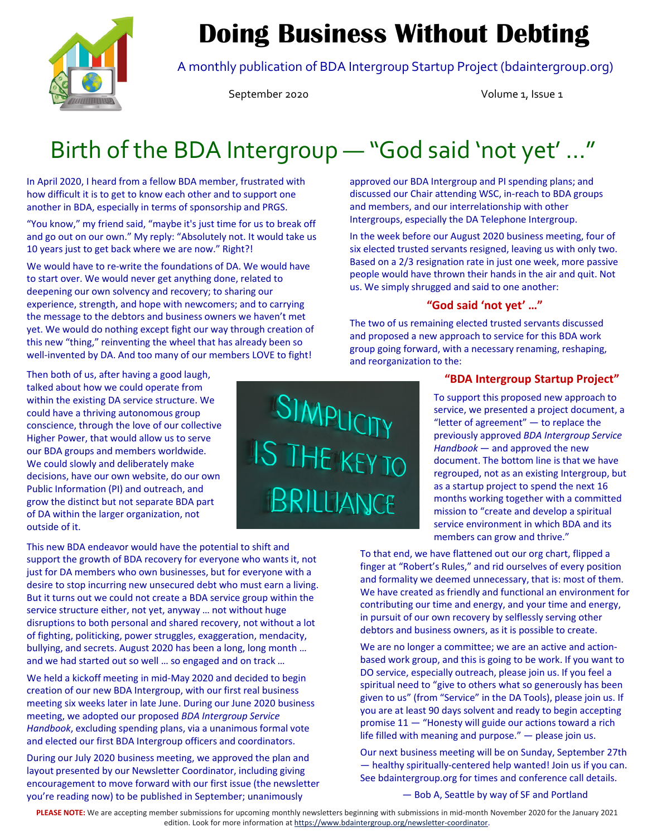

# **Doing Business Without Debting**

A monthly publication of BDA Intergroup Startup Project (bdaintergroup.org)

September 2020 Volume 1, Issue 1

# Birth of the BDA Intergroup — "God said 'not yet' …"

In April 2020, I heard from a fellow BDA member, frustrated with how difficult it is to get to know each other and to support one another in BDA, especially in terms of sponsorship and PRGS.

"You know," my friend said, "maybe it's just time for us to break off and go out on our own." My reply: "Absolutely not. It would take us 10 years just to get back where we are now." Right?!

We would have to re-write the foundations of DA. We would have to start over. We would never get anything done, related to deepening our own solvency and recovery; to sharing our experience, strength, and hope with newcomers; and to carrying the message to the debtors and business owners we haven't met yet. We would do nothing except fight our way through creation of this new "thing," reinventing the wheel that has already been so well-invented by DA. And too many of our members LOVE to fight!

Then both of us, after having a good laugh, talked about how we could operate from within the existing DA service structure. We could have a thriving autonomous group conscience, through the love of our collective Higher Power, that would allow us to serve our BDA groups and members worldwide. We could slowly and deliberately make decisions, have our own website, do our own Public Information (PI) and outreach, and grow the distinct but not separate BDA part of DA within the larger organization, not outside of it.

This new BDA endeavor would have the potential to shift and support the growth of BDA recovery for everyone who wants it, not just for DA members who own businesses, but for everyone with a desire to stop incurring new unsecured debt who must earn a living. But it turns out we could not create a BDA service group within the service structure either, not yet, anyway … not without huge disruptions to both personal and shared recovery, not without a lot of fighting, politicking, power struggles, exaggeration, mendacity, bullying, and secrets. August 2020 has been a long, long month … and we had started out so well … so engaged and on track …

We held a kickoff meeting in mid‐May 2020 and decided to begin creation of our new BDA Intergroup, with our first real business meeting six weeks later in late June. During our June 2020 business meeting, we adopted our proposed *BDA Intergroup Service Handbook*, excluding spending plans, via a unanimous formal vote and elected our first BDA Intergroup officers and coordinators.

During our July 2020 business meeting, we approved the plan and layout presented by our Newsletter Coordinator, including giving encouragement to move forward with our first issue (the newsletter you're reading now) to be published in September; unanimously



approved our BDA Intergroup and PI spending plans; and discussed our Chair attending WSC, in‐reach to BDA groups and members, and our interrelationship with other Intergroups, especially the DA Telephone Intergroup.

In the week before our August 2020 business meeting, four of six elected trusted servants resigned, leaving us with only two. Based on a 2/3 resignation rate in just one week, more passive people would have thrown their hands in the air and quit. Not us. We simply shrugged and said to one another:

### **"God said 'not yet' …"**

The two of us remaining elected trusted servants discussed and proposed a new approach to service for this BDA work group going forward, with a necessary renaming, reshaping, and reorganization to the:

### **"BDA Intergroup Startup Project"**

To support this proposed new approach to service, we presented a project document, a "letter of agreement"  $-$  to replace the previously approved *BDA Intergroup Service Handbook* — and approved the new document. The bottom line is that we have regrouped, not as an existing Intergroup, but as a startup project to spend the next 16 months working together with a committed mission to "create and develop a spiritual service environment in which BDA and its members can grow and thrive."

To that end, we have flattened out our org chart, flipped a finger at "Robert's Rules," and rid ourselves of every position and formality we deemed unnecessary, that is: most of them. We have created as friendly and functional an environment for contributing our time and energy, and your time and energy, in pursuit of our own recovery by selflessly serving other debtors and business owners, as it is possible to create.

We are no longer a committee; we are an active and actionbased work group, and this is going to be work. If you want to DO service, especially outreach, please join us. If you feel a spiritual need to "give to others what so generously has been given to us" (from "Service" in the DA Tools), please join us. If you are at least 90 days solvent and ready to begin accepting promise 11 — "Honesty will guide our actions toward a rich life filled with meaning and purpose." — please join us.

Our next business meeting will be on Sunday, September 27th — healthy spiritually‐centered help wanted! Join us if you can. See bdaintergroup.org for times and conference call details.

— Bob A, Seattle by way of SF and Portland

PLEASE NOTE: We are accepting member submissions for upcoming monthly newsletters beginning with submissions in mid-month November 2020 for the January 2021 edition. Look for more information at https://www.bdaintergroup.org/newsletter-coordinator.